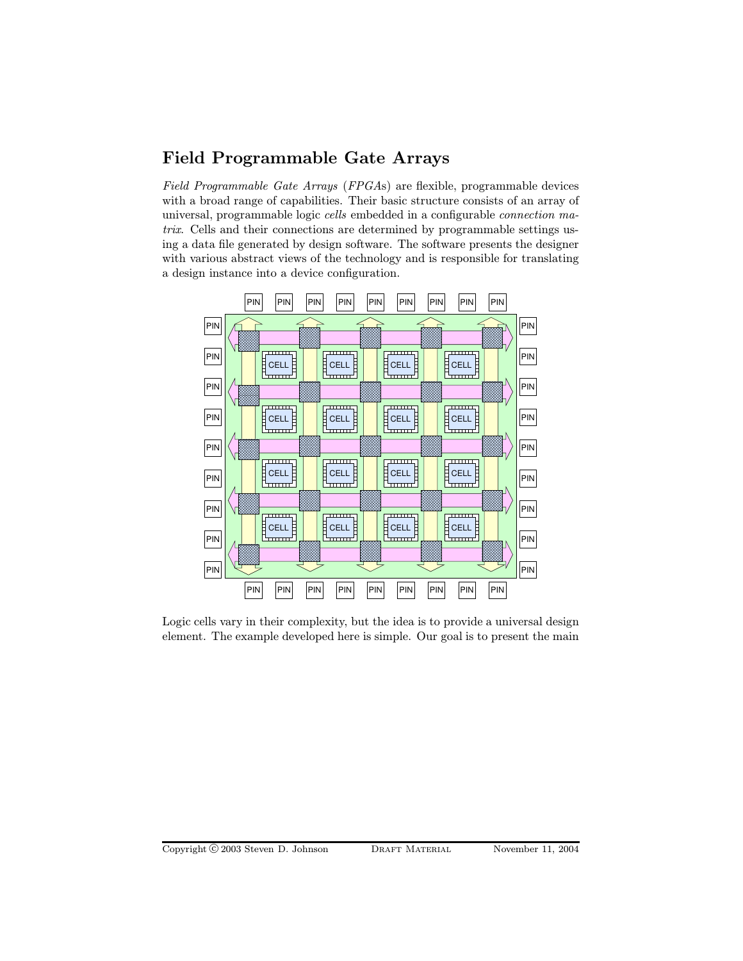## Field Programmable Gate Arrays

Field Programmable Gate Arrays (FPGAs) are flexible, programmable devices with a broad range of capabilities. Their basic structure consists of an array of universal, programmable logic cells embedded in a configurable connection matrix. Cells and their connections are determined by programmable settings using a data file generated by design software. The software presents the designer with various abstract views of the technology and is responsible for translating a design instance into a device configuration.



Logic cells vary in their complexity, but the idea is to provide a universal design element. The example developed here is simple. Our goal is to present the main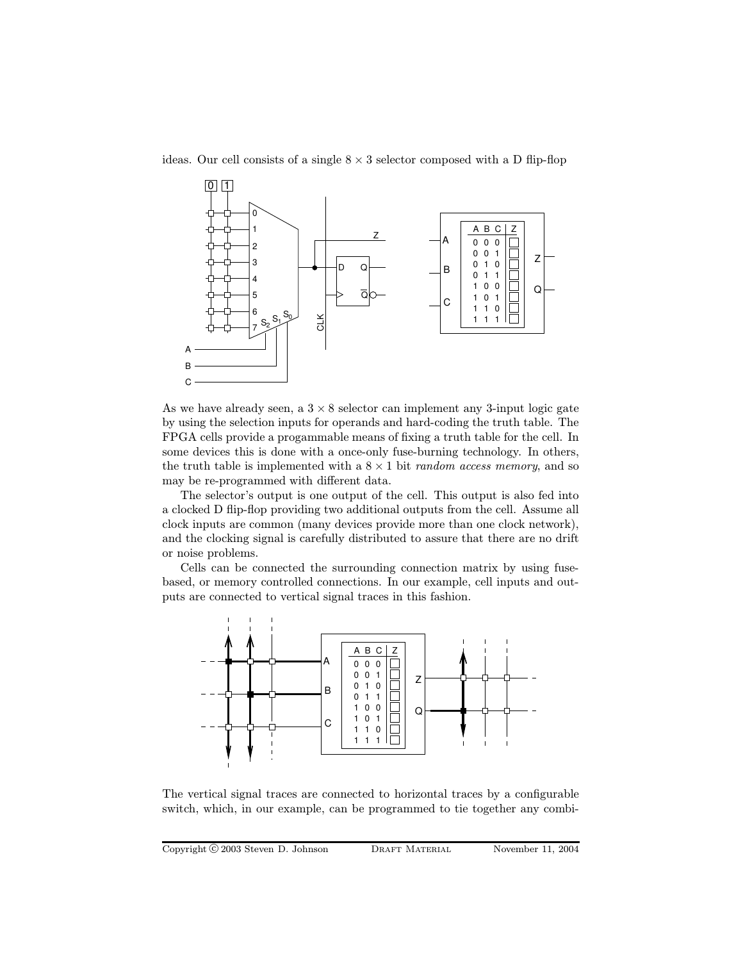ideas. Our cell consists of a single  $8 \times 3$  selector composed with a D flip-flop



As we have already seen, a  $3 \times 8$  selector can implement any 3-input logic gate by using the selection inputs for operands and hard-coding the truth table. The FPGA cells provide a progammable means of fixing a truth table for the cell. In some devices this is done with a once-only fuse-burning technology. In others, the truth table is implemented with a  $8 \times 1$  bit *random access memory*, and so may be re-programmed with different data.

The selector's output is one output of the cell. This output is also fed into a clocked D flip-flop providing two additional outputs from the cell. Assume all clock inputs are common (many devices provide more than one clock network), and the clocking signal is carefully distributed to assure that there are no drift or noise problems.

Cells can be connected the surrounding connection matrix by using fusebased, or memory controlled connections. In our example, cell inputs and outputs are connected to vertical signal traces in this fashion.



The vertical signal traces are connected to horizontal traces by a configurable switch, which, in our example, can be programmed to tie together any combi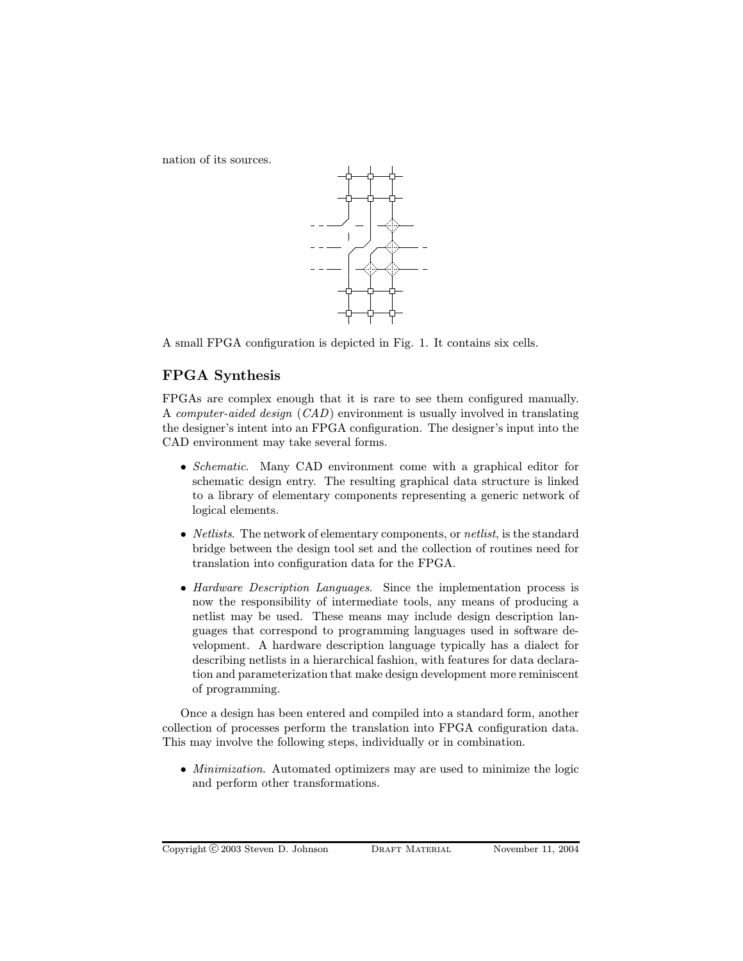nation of its sources.



A small FPGA configuration is depicted in Fig. 1. It contains six cells.

## FPGA Synthesis

FPGAs are complex enough that it is rare to see them configured manually. A computer-aided design (CAD) environment is usually involved in translating the designer's intent into an FPGA configuration. The designer's input into the CAD environment may take several forms.

- Schematic. Many CAD environment come with a graphical editor for schematic design entry. The resulting graphical data structure is linked to a library of elementary components representing a generic network of logical elements.
- *Netlists*. The network of elementary components, or *netlist*, is the standard bridge between the design tool set and the collection of routines need for translation into configuration data for the FPGA.
- Hardware Description Languages. Since the implementation process is now the responsibility of intermediate tools, any means of producing a netlist may be used. These means may include design description languages that correspond to programming languages used in software development. A hardware description language typically has a dialect for describing netlists in a hierarchical fashion, with features for data declaration and parameterization that make design development more reminiscent of programming.

Once a design has been entered and compiled into a standard form, another collection of processes perform the translation into FPGA configuration data. This may involve the following steps, individually or in combination.

• *Minimization*. Automated optimizers may are used to minimize the logic and perform other transformations.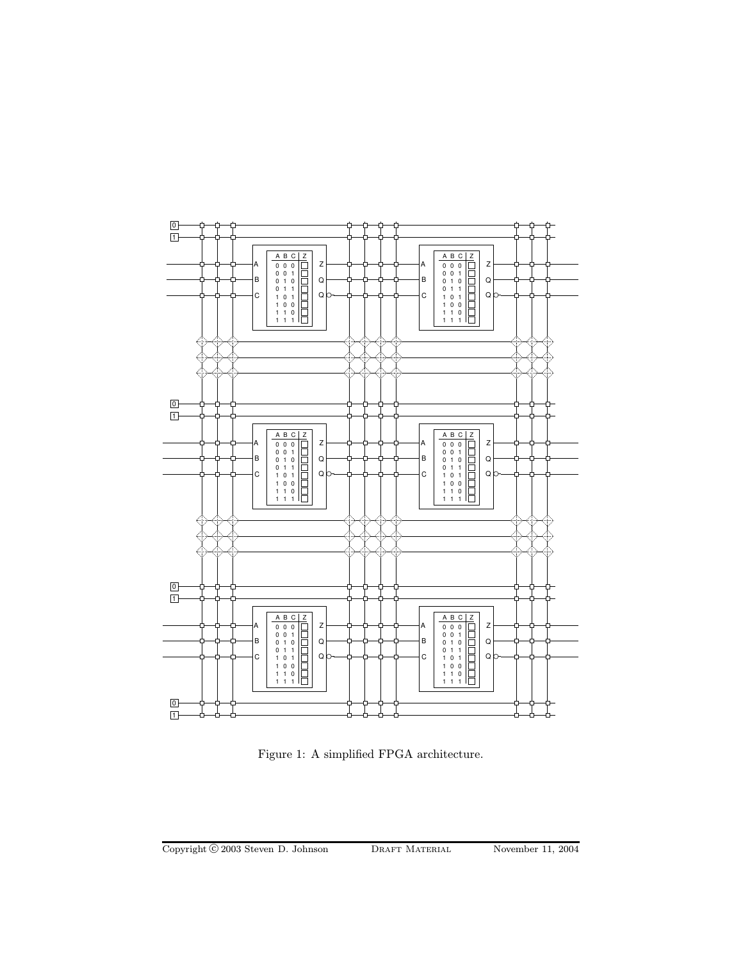

Figure 1: A simplified FPGA architecture.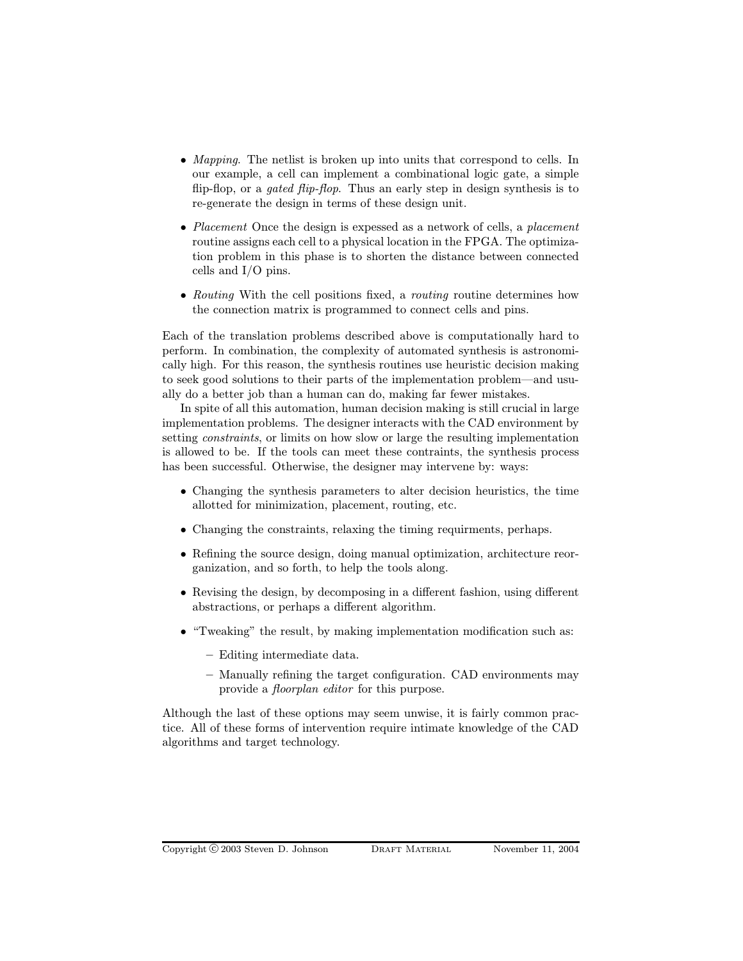- Mapping. The netlist is broken up into units that correspond to cells. In our example, a cell can implement a combinational logic gate, a simple flip-flop, or a *gated flip-flop*. Thus an early step in design synthesis is to re-generate the design in terms of these design unit.
- Placement Once the design is expessed as a network of cells, a placement routine assigns each cell to a physical location in the FPGA. The optimization problem in this phase is to shorten the distance between connected cells and I/O pins.
- Routing With the cell positions fixed, a routing routine determines how the connection matrix is programmed to connect cells and pins.

Each of the translation problems described above is computationally hard to perform. In combination, the complexity of automated synthesis is astronomically high. For this reason, the synthesis routines use heuristic decision making to seek good solutions to their parts of the implementation problem—and usually do a better job than a human can do, making far fewer mistakes.

In spite of all this automation, human decision making is still crucial in large implementation problems. The designer interacts with the CAD environment by setting constraints, or limits on how slow or large the resulting implementation is allowed to be. If the tools can meet these contraints, the synthesis process has been successful. Otherwise, the designer may intervene by: ways:

- Changing the synthesis parameters to alter decision heuristics, the time allotted for minimization, placement, routing, etc.
- Changing the constraints, relaxing the timing requirments, perhaps.
- Refining the source design, doing manual optimization, architecture reorganization, and so forth, to help the tools along.
- Revising the design, by decomposing in a different fashion, using different abstractions, or perhaps a different algorithm.
- "Tweaking" the result, by making implementation modification such as:
	- Editing intermediate data.
	- Manually refining the target configuration. CAD environments may provide a floorplan editor for this purpose.

Although the last of these options may seem unwise, it is fairly common practice. All of these forms of intervention require intimate knowledge of the CAD algorithms and target technology.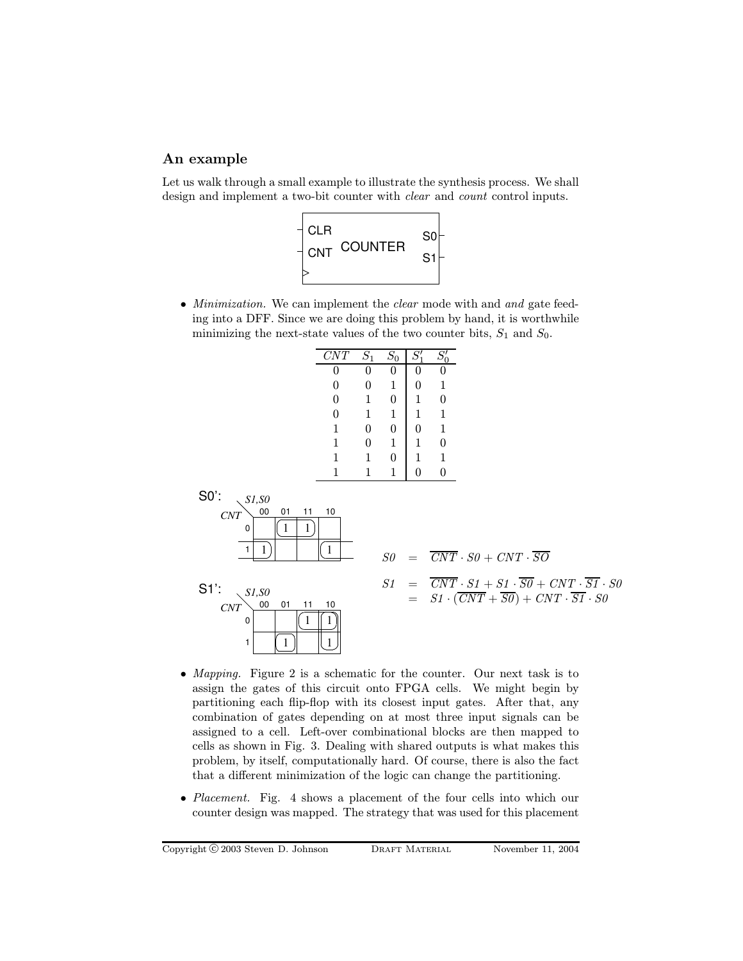## An example

Let us walk through a small example to illustrate the synthesis process. We shall design and implement a two-bit counter with clear and count control inputs.



• *Minimization*. We can implement the *clear* mode with and and gate feeding into a DFF. Since we are doing this problem by hand, it is worthwhile minimizing the next-state values of the two counter bits,  $S_1$  and  $S_0$ .

| CNT          | $\overline{S_1}$ | $S_0$ |   | 71 |
|--------------|------------------|-------|---|----|
| 0            | 0                |       | 0 |    |
| 0            | 0                | 1     | 0 | 1  |
| 0            | 1                | 0     | 1 | 0  |
| 0            | 1                | 1     | 1 | 1  |
| 1            | 0                | 0     | 0 | 1  |
| 1            | 0                | 1     | 1 | 0  |
| $\mathbf{1}$ | 1                | 0     | 1 | 1  |
| 1            |                  |       |   | l) |



- Mapping. Figure 2 is a schematic for the counter. Our next task is to assign the gates of this circuit onto FPGA cells. We might begin by partitioning each flip-flop with its closest input gates. After that, any combination of gates depending on at most three input signals can be assigned to a cell. Left-over combinational blocks are then mapped to cells as shown in Fig. 3. Dealing with shared outputs is what makes this problem, by itself, computationally hard. Of course, there is also the fact that a different minimization of the logic can change the partitioning.
- Placement. Fig. 4 shows a placement of the four cells into which our counter design was mapped. The strategy that was used for this placement

Copyright © 2003 Steven D. Johnson DRAFT MATERIAL November 11, 2004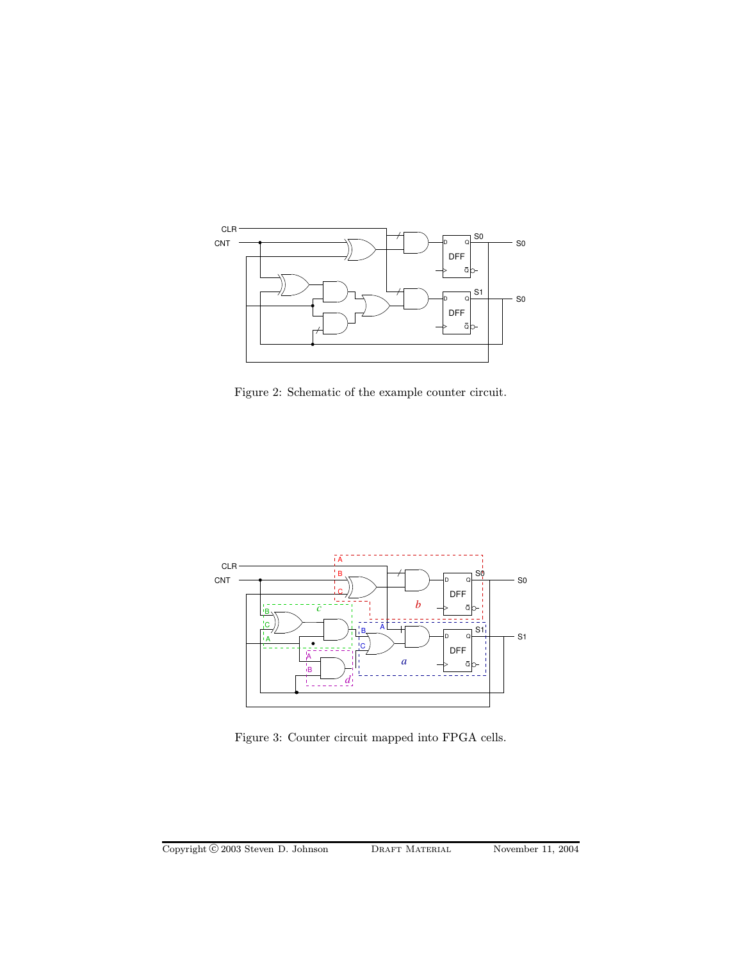

Figure 2: Schematic of the example counter circuit.



Figure 3: Counter circuit mapped into FPGA cells.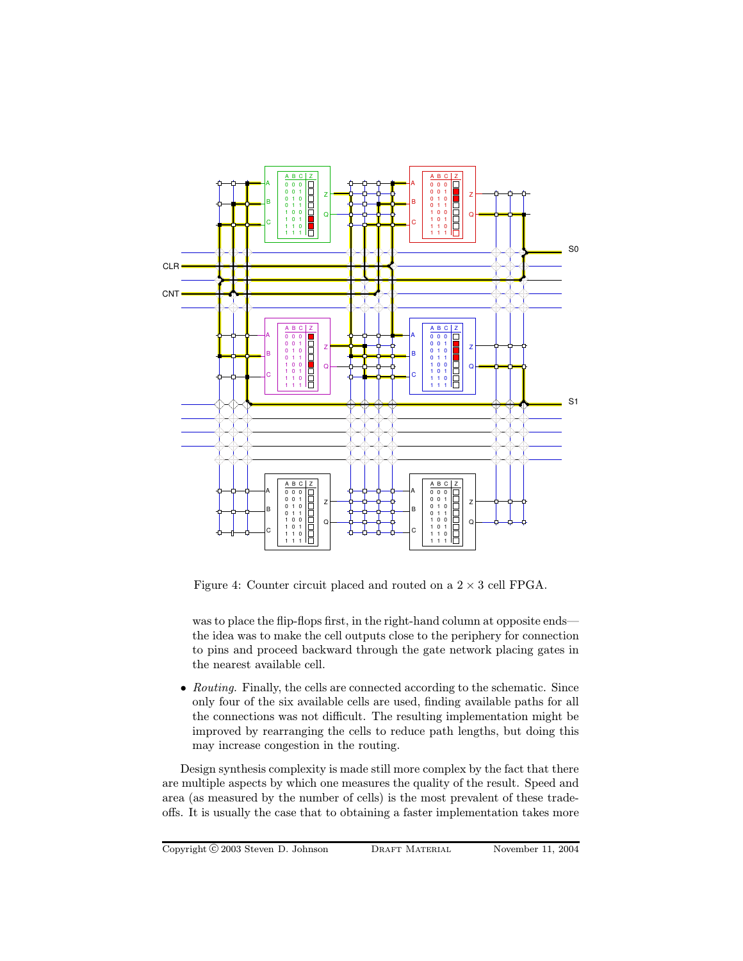

Figure 4: Counter circuit placed and routed on a  $2 \times 3$  cell FPGA.

was to place the flip-flops first, in the right-hand column at opposite ends the idea was to make the cell outputs close to the periphery for connection to pins and proceed backward through the gate network placing gates in the nearest available cell.

• Routing. Finally, the cells are connected according to the schematic. Since only four of the six available cells are used, finding available paths for all the connections was not difficult. The resulting implementation might be improved by rearranging the cells to reduce path lengths, but doing this may increase congestion in the routing.

Design synthesis complexity is made still more complex by the fact that there are multiple aspects by which one measures the quality of the result. Speed and area (as measured by the number of cells) is the most prevalent of these tradeoffs. It is usually the case that to obtaining a faster implementation takes more